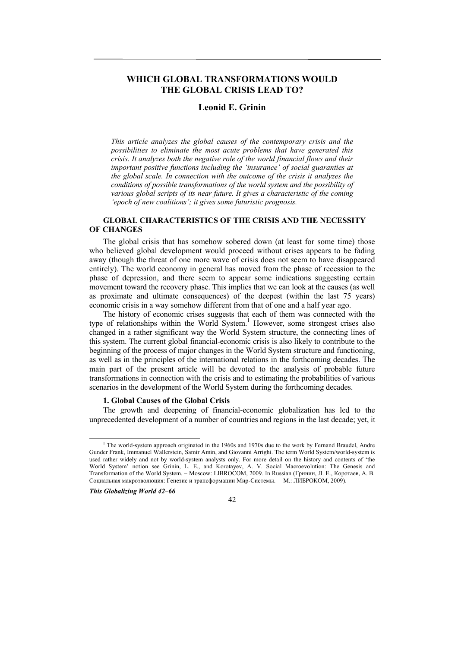# **WHICH GLOBAL TRANSFORMATIONS WOULD THE GLOBAL CRISIS LEAD TO?**

# **Leonid E. Grinin**

*This article analyzes the global causes of the contemporary crisis and the possibilities to eliminate the most acute problems that have generated this crisis. It analyzes both the negative role of the world financial flows and their important positive functions including the 'insurance' of social guaranties at the global scale. In connection with the outcome of the crisis it analyzes the conditions of possible transformations of the world system and the possibility of various global scripts of its near future. It gives a characteristic of the coming 'epoch of new coalitions'; it gives some futuristic prognosis.* 

# **GLOBAL CHARACTERISTICS OF THE CRISIS AND THE NECESSITY OF CHANGES**

The global crisis that has somehow sobered down (at least for some time) those who believed global development would proceed without crises appears to be fading away (though the threat of one more wave of crisis does not seem to have disappeared entirely). The world economy in general has moved from the phase of recession to the phase of depression, and there seem to appear some indications suggesting certain movement toward the recovery phase. This implies that we can look at the causes (as well as proximate and ultimate consequences) of the deepest (within the last 75 years) economic crisis in a way somehow different from that of one and a half year ago.

The history of economic crises suggests that each of them was connected with the type of relationships within the World System.<sup>1</sup> However, some strongest crises also changed in a rather significant way the World System structure, the connecting lines of this system. The current global financial-economic crisis is also likely to contribute to the beginning of the process of major changes in the World System structure and functioning, as well as in the principles of the international relations in the forthcoming decades. The main part of the present article will be devoted to the analysis of probable future transformations in connection with the crisis and to estimating the probabilities of various scenarios in the development of the World System during the forthcoming decades.

#### **1. Global Causes of the Global Crisis**

The growth and deepening of financial-economic globalization has led to the unprecedented development of a number of countries and regions in the last decade; yet, it

*This Globalizing World 42–66* 

42

 <sup>1</sup>  $<sup>1</sup>$  The world-system approach originated in the 1960s and 1970s due to the work by Fernand Braudel, Andre</sup> Gunder Frank, Immanuel Wallerstein, Samir Amin, and Giovanni Arrighi. The term World System/world-system is used rather widely and not by world-system analysts only. For more detail on the history and contents of 'the World System' notion see Grinin, L. E., and Korotayev, A. V. Social Macroevolution: The Genesis and Transformation of the World System. – Moscow: LIBROCOM, 2009. In Russian (Гринин, Л. Е., Коротаев, А. В. Социальная макроэволюция: Генезиc и трансформации Мир-Системы. – М.: ЛИБРОКОМ, 2009).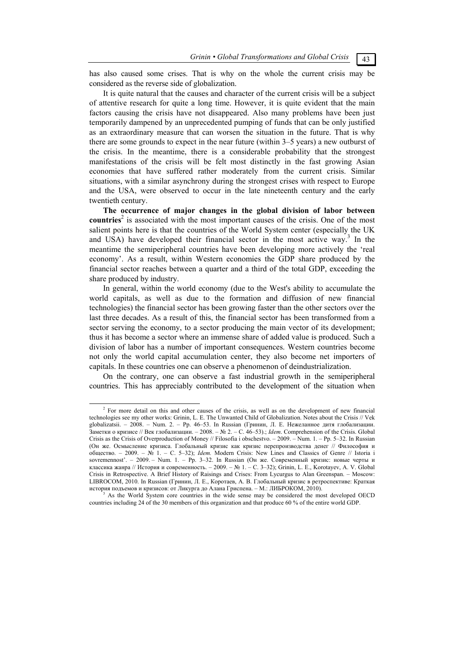has also caused some crises. That is why on the whole the current crisis may be considered as the reverse side of globalization.

It is quite natural that the causes and character of the current crisis will be a subject of attentive research for quite a long time. However, it is quite evident that the main factors causing the crisis have not disappeared. Also many problems have been just temporarily dampened by an unprecedented pumping of funds that can be only justified as an extraordinary measure that can worsen the situation in the future. That is why there are some grounds to expect in the near future (within 3–5 years) a new outburst of the crisis. In the meantime, there is a considerable probability that the strongest manifestations of the crisis will be felt most distinctly in the fast growing Asian economies that have suffered rather moderately from the current crisis. Similar situations, with a similar asynchrony during the strongest crises with respect to Europe and the USA, were observed to occur in the late nineteenth century and the early twentieth century.

**The occurrence of major changes in the global division of labor between**  countries<sup>2</sup> is associated with the most important causes of the crisis. One of the most salient points here is that the countries of the World System center (especially the UK and USA) have developed their financial sector in the most active way.<sup>3</sup> In the meantime the semiperipheral countries have been developing more actively the 'real economy'. As a result, within Western economies the GDP share produced by the financial sector reaches between a quarter and a third of the total GDP, exceeding the share produced by industry.

In general, within the world economy (due to the West's ability to accumulate the world capitals, as well as due to the formation and diffusion of new financial technologies) the financial sector has been growing faster than the other sectors over the last three decades. As a result of this, the financial sector has been transformed from a sector serving the economy, to a sector producing the main vector of its development; thus it has become a sector where an immense share of added value is produced. Such a division of labor has a number of important consequences. Western countries become not only the world capital accumulation center, they also become net importers of capitals. In these countries one can observe a phenomenon of deindustrialization.

On the contrary, one can observe a fast industrial growth in the semiperipheral countries. This has appreciably contributed to the development of the situation when

 $\overline{a}$  $<sup>2</sup>$  For more detail on this and other causes of the crisis, as well as on the development of new financial</sup> technologies see my other works: Grinin, L. E. The Unwanted Child of Globalization. Notes about the Crisis // Vek globalizatsii. – 2008. – Num. 2. – Pp. 46–53. In Russian (Гринин, Л. Е. Нежеланное дитя глобализации. Заметки о кризисе // Век глобализации. – 2008. – № 2. – С. 46–53).; *Idem*. Comprehension of the Crisis. Global Crisis as the Crisis of Overproduction of Money // Filosofia i obschestvo. – 2009. – Num. 1. – Pp. 5–32. In Russian (Он же. Осмысление кризиса. Глобальный кризис как кризис перепроизводства денег // Философия и общество. – 2009. – № 1. – C. 5–32); *Idem.* Modern Crisis: New Lines and Classics of Genre // Istoria i sovremennost'. – 2009. – Num. 1. – Pp. 3–32. In Russian (Он же. Современный кризис: новые черты и классика жанра // История и современность. – 2009. – № 1. – С. 3–32); Grinin, L. E., Korotayev, A. V. Global Crisis in Retrospective. A Brief History of Raisings and Crises: From Lycurgus to Alan Greenspan. – Moscow: LIBROCOM, 2010. In Russian (Гринин, Л. Е., Коротаев, А. В. Глобальный кризис в ретроспективе: Краткая история подъемов и кризисов: от Ликурга до Алана Гриспена. – М.: ЛИБРОКОМ, 2010).

<sup>&</sup>lt;sup>3</sup> As the World System core countries in the wide sense may be considered the most developed OECD countries including 24 of the 30 members of this organization and that produce 60 % of the entire world GDP.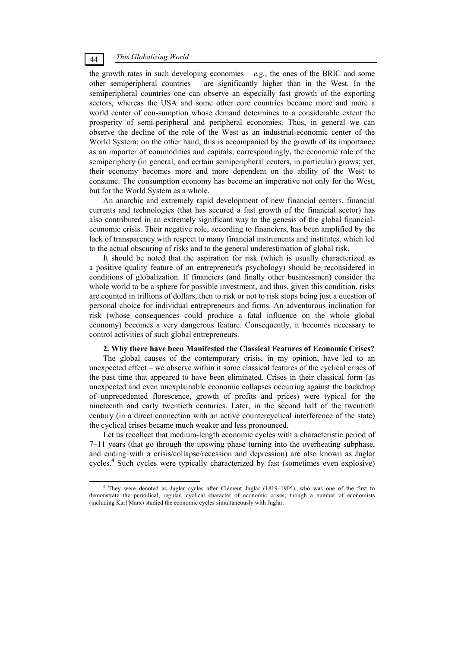the growth rates in such developing economies  $-e.g.,$  the ones of the BRIC and some other semiperipheral countries – are significantly higher than in the West. In the semiperipheral countries one can observe an especially fast growth of the exporting sectors, whereas the USA and some other core countries become more and more a world center of con-sumption whose demand determines to a considerable extent the prosperity of semi-peripheral and peripheral economies. Thus, in general we can observe the decline of the role of the West as an industrial-economic center of the World System; on the other hand, this is accompanied by the growth of its importance as an importer of commodities and capitals; correspondingly, the economic role of the semiperiphery (in general, and certain semiperipheral centers, in particular) grows; yet, their economy becomes more and more dependent on the ability of the West to consume. The consumption economy has become an imperative not only for the West, but for the World System as a whole.

An anarchic and extremely rapid development of new financial centers, financial currents and technologies (that has secured a fast growth of the financial sector) has also contributed in an extremely significant way to the genesis of the global financialeconomic crisis. Their negative role, according to financiers, has been amplified by the lack of transparency with respect to many financial instruments and institutes, which led to the actual obscuring of risks and to the general underestimation of global risk.

It should be noted that the aspiration for risk (which is usually characterized as a positive quality feature of an entrepreneur's psychology) should be reconsidered in conditions of globalization. If financiers (and finally other businessmen) consider the whole world to be a sphere for possible investment, and thus, given this condition, risks are counted in trillions of dollars, then to risk or not to risk stops being just a question of personal choice for individual entrepreneurs and firms. An adventurous inclination for risk (whose consequences could produce a fatal influence on the whole global economy) becomes a very dangerous feature. Consequently, it becomes necessary to control activities of such global entrepreneurs.

## **2. Why there have been Manifested the Classical Features of Economic Crises?**

The global causes of the contemporary crisis, in my opinion, have led to an unexpected effect – we observe within it some classical features of the cyclical crises of the past time that appeared to have been eliminated. Crises in their classical form (as unexpected and even unexplainable economic collapses occurring against the backdrop of unprecedented florescence, growth of profits and prices) were typical for the nineteenth and early twentieth centuries. Later, in the second half of the twentieth century (in a direct connection with an active countercyclical interference of the state) the cyclical crises became much weaker and less pronounced.

Let us recollect that medium-length economic cycles with a characteristic period of 7–11 years (that go through the upswing phase turning into the overheating subphase, and ending with a crisis/collapse/recession and depression) are also known as Juglar cycles.<sup>4</sup> Such cycles were typically characterized by fast (sometimes even explosive)

 $\overline{4}$  They were denoted as Juglar cycles after Clément Juglar (1819–1905), who was one of the first to demonstrate the periodical, regular, cyclical character of economic crises; though a number of economists (including Karl Marx) studied the economic cycles simultaneously with Juglar.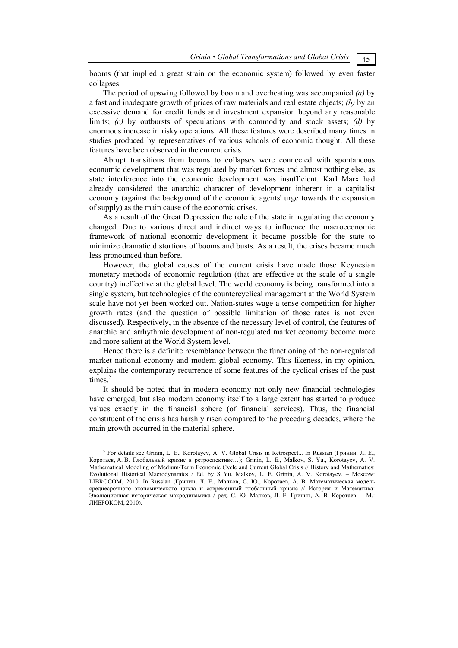booms (that implied a great strain on the economic system) followed by even faster collapses.

The period of upswing followed by boom and overheating was accompanied *(a)* by a fast and inadequate growth of prices of raw materials and real estate objects; *(b)* by an excessive demand for credit funds and investment expansion beyond any reasonable limits; *(c)* by outbursts of speculations with commodity and stock assets; *(d)* by enormous increase in risky operations. All these features were described many times in studies produced by representatives of various schools of economic thought. All these features have been observed in the current crisis.

Abrupt transitions from booms to collapses were connected with spontaneous economic development that was regulated by market forces and almost nothing else, as state interference into the economic development was insufficient. Karl Marx had already considered the anarchic character of development inherent in a capitalist economy (against the background of the economic agents' urge towards the expansion of supply) as the main cause of the economic crises.

As a result of the Great Depression the role of the state in regulating the economy changed. Due to various direct and indirect ways to influence the macroeconomic framework of national economic development it became possible for the state to minimize dramatic distortions of booms and busts. As a result, the crises became much less pronounced than before.

However, the global causes of the current crisis have made those Keynesian monetary methods of economic regulation (that are effective at the scale of a single country) ineffective at the global level. The world economy is being transformed into a single system, but technologies of the countercyclical management at the World System scale have not yet been worked out. Nation-states wage a tense competition for higher growth rates (and the question of possible limitation of those rates is not even discussed). Respectively, in the absence of the necessary level of control, the features of anarchic and arrhythmic development of non-regulated market economy become more and more salient at the World System level.

Hence there is a definite resemblance between the functioning of the non-regulated market national economy and modern global economy. This likeness, in my opinion, explains the contemporary recurrence of some features of the cyclical crises of the past times.<sup>5</sup>

It should be noted that in modern economy not only new financial technologies have emerged, but also modern economy itself to a large extent has started to produce values exactly in the financial sphere (of financial services). Thus, the financial constituent of the crisis has harshly risen compared to the preceding decades, where the main growth occurred in the material sphere.

 $\frac{1}{5}$  $^5$  For details see Grinin, L. E., Korotayev, A. V. Global Crisis in Retrospect... In Russian (Гринин, Л. Е., Коротаев, А. В. Глобальный кризис в ретроспективе…); Grinin, L. E., Malkov, S. Yu., Korotayev, A. V. Mathematical Modeling of Medium-Term Economic Cycle and Current Global Crisis // History and Mathematics: Evolutional Historical Macrodynamics / Ed. by S. Yu. Malkov, L. E. Grinin, A. V. Korotayev. – Moscow: LIBROСOM, 2010. In Russian (Гринин, Л. Е., Малков, С. Ю., Коротаев, А. В. Математическая модель среднесрочного экономического цикла и современный глобальный кризис // История и Математика: Эволюционная историческая макродинамика / ред. С. Ю. Малков, Л. Е. Гринин, А. В. Коротаев. – М.: ЛИБРОКОМ, 2010).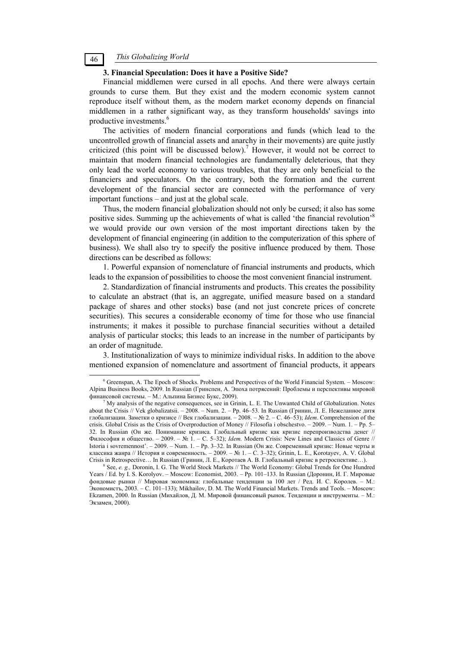## **3. Financial Speculation: Does it have a Positive Side?**

Financial middlemen were cursed in all epochs. And there were always certain grounds to curse them. But they exist and the modern economic system cannot reproduce itself without them, as the modern market economy depends on financial middlemen in a rather significant way, as they transform households' savings into productive investments.<sup>6</sup>

The activities of modern financial corporations and funds (which lead to the uncontrolled growth of financial assets and anarchy in their movements) are quite justly criticized (this point will be discussed below).<sup>7</sup> However, it would not be correct to maintain that modern financial technologies are fundamentally deleterious, that they only lead the world economy to various troubles, that they are only beneficial to the financiers and speculators. On the contrary, both the formation and the current development of the financial sector are connected with the performance of very important functions – and just at the global scale.

Thus, the modern financial globalization should not only be cursed; it also has some positive sides. Summing up the achievements of what is called 'the financial revolution'8 we would provide our own version of the most important directions taken by the development of financial engineering (in addition to the computerization of this sphere of business). We shall also try to specify the positive influence produced by them. Those directions can be described as follows:

1. Powerful expansion of nomenclature of financial instruments and products, which leads to the expansion of possibilities to choose the most convenient financial instrument.

2. Standardization of financial instruments and products. This creates the possibility to calculate an abstract (that is, an aggregate, unified measure based on a standard package of shares and other stocks) base (and not just concrete prices of concrete securities). This secures a considerable economy of time for those who use financial instruments; it makes it possible to purchase financial securities without a detailed analysis of particular stocks; this leads to an increase in the number of participants by an order of magnitude.

3. Institutionalization of ways to minimize individual risks. In addition to the above mentioned expansion of nomenclature and assortment of financial products, it appears

 $\overline{6}$  Greenspan, А. The Epoch of Shocks. Problems and Perspectives of the World Financial System. – Moscow: Alpina Business Books, 2009. In Russian (Гринспен, А. Эпоха потрясений: Проблемы и перспективы мировой финансовой системы. – М.: Альпина Бизнес Букс, 2009). 7

My analysis of the negative consequences, see in Grinin, L. E. The Unwanted Child of Globalization. Notes about the Crisis // Vek globalizatsii. – 2008. – Num. 2. – Pp. 46–53. In Russian (Гринин, Л. Е. Нежеланное дитя глобализации. Заметки о кризисе // Век глобализации. – 2008. – № 2. – C. 46–53); *Idem*. Comprehension of the crisis. Global Crisis as the Crisis of Overproduction of Money // Filosofia i obschestvo. – 2009. – Num. 1. – Pp. 5– 32. In Russian (Он же. Понимание кризиса. Глобальный кризис как кризис перепроизводства денег // Философия и общество. – 2009. – № 1. – C. 5–32); *Idem.* Modern Crisis: New Lines and Classics of Genre // Istoria i sovremennost'. – 2009. – Num. 1. – Pp. 3–32. In Russian (Он же. Современный кризис: Новые черты и классика жанра // История и современность. – 2009. – № 1. – С. 3–32); Grinin, L. E., Korotayev, A. V. Global Crisis in Retrospective… In Russian (Гринин, Л. Е., Коротаев <sup>А</sup>. В. Глобальный кризис <sup>в</sup> ретроспективе…). 8

See, *e. g.,* Doronin, I. G. The World Stock Markets // The World Economy: Global Trends for One Hundred Years / Ed. by I. S. Korolyov. – Moscow: Economist, 2003. – Pp. 101–133. In Russian (Доронин, И. Г. Мировые фондовые рынки // Мировая экономика: глобальные тенденции за 100 лет / Ред. И. С. Королев. – М.: Экономистъ, 2003. – С. 101–133); Mikhailov, D. M. The World Financial Markets. Trends and Tools. – Moscow: Ekzamen, 2000. In Russian (Михайлов, Д. М. Мировой финансовый рынок. Тенденции и инструменты. – М.: Экзамен, 2000).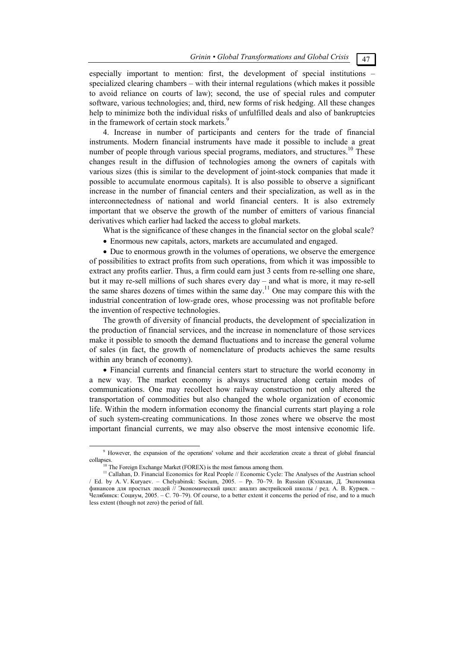*Grinin • Global Transformations and Global Crisis* 47

especially important to mention: first, the development of special institutions – specialized clearing chambers – with their internal regulations (which makes it possible to avoid reliance on courts of law); second, the use of special rules and computer software, various technologies; and, third, new forms of risk hedging. All these changes help to minimize both the individual risks of unfulfilled deals and also of bankruptcies in the framework of certain stock markets.<sup>9</sup>

4. Increase in number of participants and centers for the trade of financial instruments. Modern financial instruments have made it possible to include a great number of people through various special programs, mediators, and structures.<sup>10</sup> These changes result in the diffusion of technologies among the owners of capitals with various sizes (this is similar to the development of joint-stock companies that made it possible to accumulate enormous capitals). It is also possible to observe a significant increase in the number of financial centers and their specialization, as well as in the interconnectedness of national and world financial centers. It is also extremely important that we observe the growth of the number of emitters of various financial derivatives which earlier had lacked the access to global markets.

What is the significance of these changes in the financial sector on the global scale?

Enormous new capitals, actors, markets are accumulated and engaged.

 Due to enormous growth in the volumes of operations, we observe the emergence of possibilities to extract profits from such operations, from which it was impossible to extract any profits earlier. Thus, a firm could earn just 3 cents from re-selling one share, but it may re-sell millions of such shares every day – and what is more, it may re-sell the same shares dozens of times within the same day.<sup>11</sup> One may compare this with the industrial concentration of low-grade ores, whose processing was not profitable before the invention of respective technologies.

The growth of diversity of financial products, the development of specialization in the production of financial services, and the increase in nomenclature of those services make it possible to smooth the demand fluctuations and to increase the general volume of sales (in fact, the growth of nomenclature of products achieves the same results within any branch of economy).

 Financial currents and financial centers start to structure the world economy in a new way. The market economy is always structured along certain modes of communications. One may recollect how railway construction not only altered the transportation of commodities but also changed the whole organization of economic life. Within the modern information economy the financial currents start playing a role of such system-creating communications. In those zones where we observe the most important financial currents, we may also observe the most intensive economic life.

 $\frac{1}{9}$ <sup>9</sup> However, the expansion of the operations' volume and their acceleration create a threat of global financial collapses.

 $10$  The Foreign Exchange Market (FOREX) is the most famous among them.

<sup>&</sup>lt;sup>11</sup> Callahan, D. Financial Economics for Real People // Economic Cycle: The Analyses of the Austrian school / Ed. by A. V. Kuryaev. – Chelyabinsk: Socium, 2005. – Pp. 70–79. In Russian (Кэлахан, Д. Экономика финансов для простых людей // Экономический цикл: анализ австрийской школы / ред. А. В. Куряев. – Челябинск: Социум, 2005. – С. 70–79). Of course, to a better extent it concerns the period of rise, and to a much less extent (though not zero) the period of fall.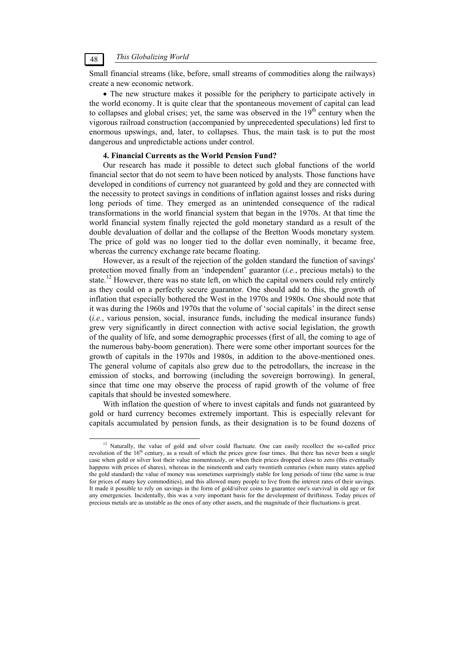Small financial streams (like, before, small streams of commodities along the railways) create a new economic network.

 The new structure makes it possible for the periphery to participate actively in the world economy. It is quite clear that the spontaneous movement of capital can lead to collapses and global crises; yet, the same was observed in the  $19<sup>th</sup>$  century when the vigorous railroad construction (accompanied by unprecedented speculations) led first to enormous upswings, and, later, to collapses. Thus, the main task is to put the most dangerous and unpredictable actions under control.

### **4. Financial Currents as the World Pension Fund?**

Our research has made it possible to detect such global functions of the world financial sector that do not seem to have been noticed by analysts. Those functions have developed in conditions of currency not guaranteed by gold and they are connected with the necessity to protect savings in conditions of inflation against losses and risks during long periods of time. They emerged as an unintended consequence of the radical transformations in the world financial system that began in the 1970s. At that time the world financial system finally rejected the gold monetary standard as a result of the double devaluation of dollar and the collapse of the Bretton Woods monetary system. The price of gold was no longer tied to the dollar even nominally, it became free, whereas the currency exchange rate became floating.

However, as a result of the rejection of the golden standard the function of savings' protection moved finally from an 'independent' guarantor (*i.e.*, precious metals) to the state.<sup>12</sup> However, there was no state left, on which the capital owners could rely entirely as they could on a perfectly secure guarantor. One should add to this, the growth of inflation that especially bothered the West in the 1970s and 1980s. One should note that it was during the 1960s and 1970s that the volume of 'social capitals' in the direct sense (*i.e.*, various pension, social, insurance funds, including the medical insurance funds) grew very significantly in direct connection with active social legislation, the growth of the quality of life, and some demographic processes (first of all, the coming to age of the numerous baby-boom generation). There were some other important sources for the growth of capitals in the 1970s and 1980s, in addition to the above-mentioned ones. The general volume of capitals also grew due to the petrodollars, the increase in the emission of stocks, and borrowing (including the sovereign borrowing). In general, since that time one may observe the process of rapid growth of the volume of free capitals that should be invested somewhere.

With inflation the question of where to invest capitals and funds not guaranteed by gold or hard currency becomes extremely important. This is especially relevant for capitals accumulated by pension funds, as their designation is to be found dozens of

 $12$  Naturally, the value of gold and silver could fluctuate. One can easily recollect the so-called price revolution of the  $16<sup>th</sup>$  century, as a result of which the prices grew four times. But there has never been a single case when gold or silver lost their value momentously, or when their prices dropped close to zero (this eventually happens with prices of shares), whereas in the nineteenth and early twentieth centuries (when many states applied the gold standard) the value of money was sometimes surprisingly stable for long periods of time (the same is true for prices of many key commodities), and this allowed many people to live from the interest rates of their savings. It made it possible to rely on savings in the form of gold/silver coins to guarantee one's survival in old age or for any emergencies. Incidentally, this was a very important basis for the development of thriftiness. Today prices of precious metals are as unstable as the ones of any other assets, and the magnitude of their fluctuations is great.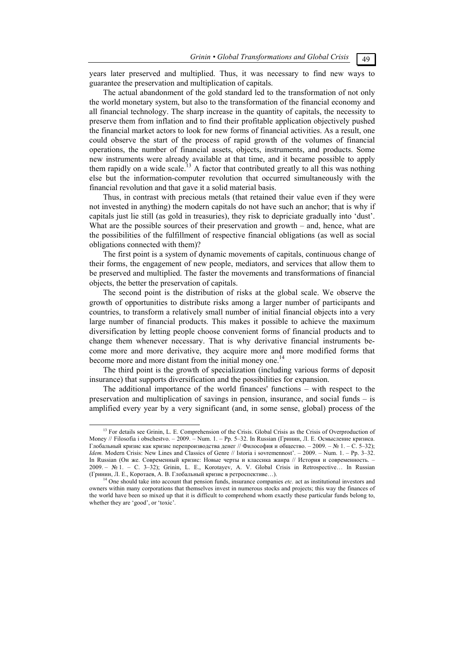years later preserved and multiplied. Thus, it was necessary to find new ways to guarantee the preservation and multiplication of capitals.

The actual abandonment of the gold standard led to the transformation of not only the world monetary system, but also to the transformation of the financial economy and all financial technology. The sharp increase in the quantity of capitals, the necessity to preserve them from inflation and to find their profitable application objectively pushed the financial market actors to look for new forms of financial activities. As a result, one could observe the start of the process of rapid growth of the volumes of financial operations, the number of financial assets, objects, instruments, and products. Some new instruments were already available at that time, and it became possible to apply them rapidly on a wide scale.<sup>13</sup> A factor that contributed greatly to all this was nothing else but the information-computer revolution that occurred simultaneously with the financial revolution and that gave it a solid material basis.

Thus, in contrast with precious metals (that retained their value even if they were not invested in anything) the modern capitals do not have such an anchor; that is why if capitals just lie still (as gold in treasuries), they risk to depriciate gradually into 'dust'. What are the possible sources of their preservation and growth – and, hence, what are the possibilities of the fulfillment of respective financial obligations (as well as social obligations connected with them)?

The first point is a system of dynamic movements of capitals, continuous change of their forms, the engagement of new people, mediators, and services that allow them to be preserved and multiplied. The faster the movements and transformations of financial objects, the better the preservation of capitals.

The second point is the distribution of risks at the global scale. We observe the growth of opportunities to distribute risks among a larger number of participants and countries, to transform a relatively small number of initial financial objects into a very large number of financial products. This makes it possible to achieve the maximum diversification by letting people choose convenient forms of financial products and to change them whenever necessary. That is why derivative financial instruments become more and more derivative, they acquire more and more modified forms that become more and more distant from the initial money one.<sup>14</sup>

The third point is the growth of specialization (including various forms of deposit insurance) that supports diversification and the possibilities for expansion.

The additional importance of the world finances' functions – with respect to the preservation and multiplication of savings in pension, insurance, and social funds – is amplified every year by a very significant (and, in some sense, global) process of the

<sup>&</sup>lt;sup>13</sup> For details see Grinin, L. E. Comprehension of the Crisis. Global Crisis as the Crisis of Overproduction of Money // Filosofia i obschestvo. – 2009. – Num. 1. – Pp. 5–32. In Russian (Гринин, Л. Е. Осмысление кризиса. Глобальный кризис как кризис перепроизводства денег // Философия и общество. – 2009. – № 1. – C. 5–32); *Idem.* Modern Crisis: New Lines and Classics of Genre // Istoria i sovremennost'. – 2009. – Num. 1. – Pp. 3–32. In Russian (Он же. Современный кризис: Новые черты и классика жанра // История и современность. – 2009. – № 1. – С. 3–32); Grinin, L. E., Korotayev, A. V. Global Crisis in Retrospective… In Russian

<sup>(</sup>Гринин, Л. Е., Коротаев, А. В. Глобальный кризис <sup>в</sup> ретроспективе…). 14 One should take into account that pension funds, insurance companies *etc.* act as institutional investors and owners within many corporations that themselves invest in numerous stocks and projects; this way the finances of the world have been so mixed up that it is difficult to comprehend whom exactly these particular funds belong to, whether they are 'good', or 'toxic'.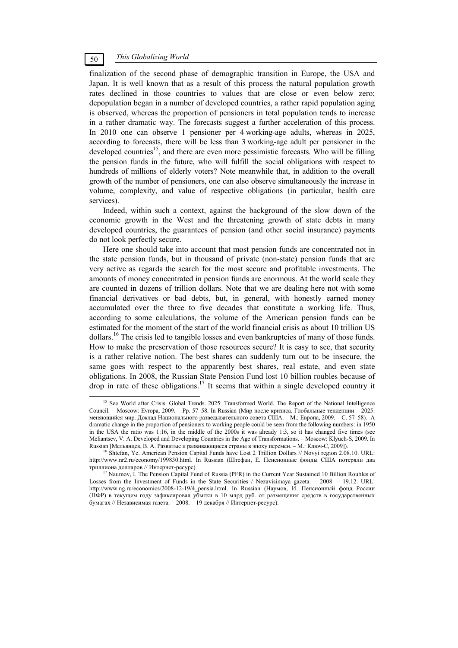finalization of the second phase of demographic transition in Europe, the USA and Japan. It is well known that as a result of this process the natural population growth rates declined in those countries to values that are close or even below zero; depopulation began in a number of developed countries, a rather rapid population aging is observed, whereas the proportion of pensioners in total population tends to increase in a rather dramatic way. The forecasts suggest a further acceleration of this process. In 2010 one can observe 1 pensioner per 4 working-age adults, whereas in 2025, according to forecasts, there will be less than 3 working-age adult per pensioner in the developed countries<sup>15</sup>, and there are even more pessimistic forecasts. Who will be filling the pension funds in the future, who will fulfill the social obligations with respect to hundreds of millions of elderly voters? Note meanwhile that, in addition to the overall growth of the number of pensioners, one can also observe simultaneously the increase in volume, complexity, and value of respective obligations (in particular, health care services).

Indeed, within such a context, against the background of the slow down of the economic growth in the West and the threatening growth of state debts in many developed countries, the guarantees of pension (and other social insurance) payments do not look perfectly secure.

Here one should take into account that most pension funds are concentrated not in the state pension funds, but in thousand of private (non-state) pension funds that are very active as regards the search for the most secure and profitable investments. The amounts of money concentrated in pension funds are enormous. At the world scale they are counted in dozens of trillion dollars. Note that we are dealing here not with some financial derivatives or bad debts, but, in general, with honestly earned money accumulated over the three to five decades that constitute a working life. Thus, according to some calculations, the volume of the American pension funds can be estimated for the moment of the start of the world financial crisis as about 10 trillion US dollars.<sup>16</sup> The crisis led to tangible losses and even bankruptcies of many of those funds. How to make the preservation of those resources secure? It is easy to see, that security is a rather relative notion. The best shares can suddenly turn out to be insecure, the same goes with respect to the apparently best shares, real estate, and even state obligations. In 2008, the Russian State Pension Fund lost 10 billion roubles because of drop in rate of these obligations.<sup>17</sup> It seems that within a single developed country it

<sup>&</sup>lt;sup>15</sup> See World after Crisis. Global Trends. 2025: Transformed World. The Report of the National Intelligence Council. – Moscow: Evropa, 2009. – Pp. 57–58. In Russian (Мир после кризиса. Глобальные тенденции – 2025: меняющийся мир. Доклад Национального разведывательного совета США. – М.: Европа, 2009. – С. 57–58). A dramatic change in the proportion of pensioners to working people could be seen from the following numbers: in 1950 in the USA the ratio was 1:16, in the middle of the 2000s it was already 1:3, so it has changed five times (see Meliantsev, V. A. Developed and Developing Countries in the Age of Transformations. – Moscow: Klyuch-S, 2009. In Russian [Мельянцев, В. А. Развитые и развивающиеся страны в эпоху перемен. – М.: Ключ-С, 2009]). <sup>16</sup> Shtefan, Ye. American Pension Capital Funds have Lost 2 Trillion Dollars // Novyi region 2.08.10. URL:

http://www.nr2.ru/economy/199830.html. In Russian (Штефан, Е. Пенсионные фонды США потеряли два<br>триллиона долларов // Интернет-ресурс).

<sup>&</sup>lt;sup>17</sup> Naumov, I. The Pension Capital Fund of Russia (PFR) in the Current Year Sustained 10 Billion Roubles of Losses from the Investment of Funds in the State Securities / Nezavisimaya gazeta. – 2008. – 19.12. URL: http://www.ng.ru/economics/2008-12-19/4\_pensia.html. In Russian (Наумов, И. Пенсионный фонд России (ПФР) в текущем году зафиксировал убытки в 10 млрд руб. от размещения средств в государственных бумагах // Независимая газета. – 2008. – 19 декабря // Интернет-ресурс).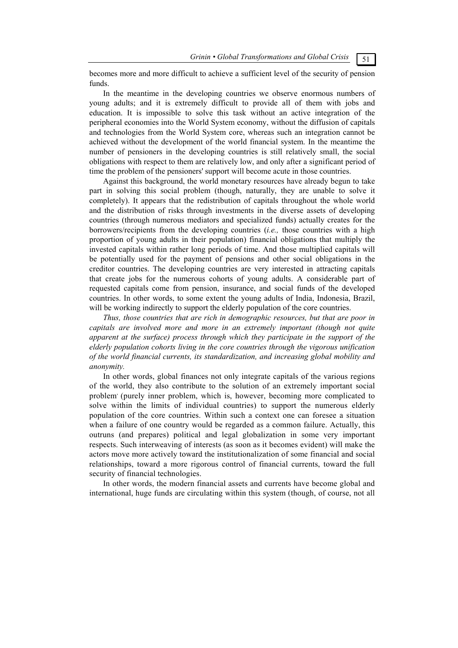becomes more and more difficult to achieve a sufficient level of the security of pension funds.

In the meantime in the developing countries we observe enormous numbers of young adults; and it is extremely difficult to provide all of them with jobs and education. It is impossible to solve this task without an active integration of the peripheral economies into the World System economy, without the diffusion of capitals and technologies from the World System core, whereas such an integration cannot be achieved without the development of the world financial system. In the meantime the number of pensioners in the developing countries is still relatively small, the social obligations with respect to them are relatively low, and only after a significant period of time the problem of the pensioners' support will become acute in those countries.

Against this background, the world monetary resources have already begun to take part in solving this social problem (though, naturally, they are unable to solve it completely). It appears that the redistribution of capitals throughout the whole world and the distribution of risks through investments in the diverse assets of developing countries (through numerous mediators and specialized funds) actually creates for the borrowers/recipients from the developing countries (*i.e.,* those countries with a high proportion of young adults in their population) financial obligations that multiply the invested capitals within rather long periods of time. And those multiplied capitals will be potentially used for the payment of pensions and other social obligations in the creditor countries. The developing countries are very interested in attracting capitals that create jobs for the numerous cohorts of young adults. A considerable part of requested capitals come from pension, insurance, and social funds of the developed countries. In other words, to some extent the young adults of India, Indonesia, Brazil, will be working indirectly to support the elderly population of the core countries.

*Thus, those countries that are rich in demographic resources, but that are poor in capitals are involved more and more in an extremely important (though not quite apparent at the surface) process through which they participate in the support of the elderly population cohorts living in the core countries through the vigorous unification of the world financial currents, its standardization, and increasing global mobility and anonymity.*

In other words, global finances not only integrate capitals of the various regions of the world, they also contribute to the solution of an extremely important social problem, (purely inner problem, which is, however, becoming more complicated to solve within the limits of individual countries) to support the numerous elderly population of the core countries. Within such a context one can foresee a situation when a failure of one country would be regarded as a common failure. Actually, this outruns (and prepares) political and legal globalization in some very important respects. Such interweaving of interests (as soon as it becomes evident) will make the actors move more actively toward the institutionalization of some financial and social relationships, toward a more rigorous control of financial currents, toward the full security of financial technologies.

In other words, the modern financial assets and currents have become global and international, huge funds are circulating within this system (though, of course, not all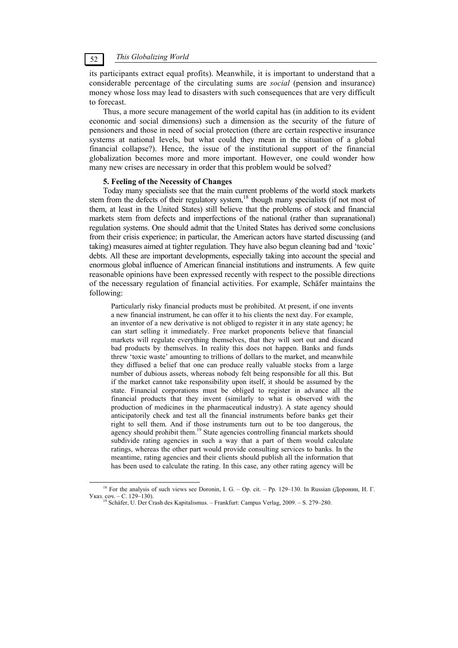its participants extract equal profits). Meanwhile, it is important to understand that a considerable percentage of the circulating sums are *social* (pension and insurance) money whose loss may lead to disasters with such consequences that are very difficult to forecast.

Thus, a more secure management of the world capital has (in addition to its evident economic and social dimensions) such a dimension as the security of the future of pensioners and those in need of social protection (there are certain respective insurance systems at national levels, but what could they mean in the situation of a global financial collapse?). Hence, the issue of the institutional support of the financial globalization becomes more and more important. However, one could wonder how many new crises are necessary in order that this problem would be solved?

### **5. Feeling of the Necessity of Changes**

Today many specialists see that the main current problems of the world stock markets stem from the defects of their regulatory system,<sup>18</sup> though many specialists (if not most of them, at least in the United States) still believe that the problems of stock and financial markets stem from defects and imperfections of the national (rather than supranational) regulation systems. One should admit that the United States has derived some conclusions from their crisis experience; in particular, the American actors have started discussing (and taking) measures aimed at tighter regulation. They have also begun cleaning bad and 'toxic' debts. All these are important developments, especially taking into account the special and enormous global influence of American financial institutions and instruments. A few quite reasonable opinions have been expressed recently with respect to the possible directions of the necessary regulation of financial activities. For example, Schäfer maintains the following:

Particularly risky financial products must be prohibited. At present, if one invents a new financial instrument, he can offer it to his clients the next day. For example, an inventor of a new derivative is not obliged to register it in any state agency; he can start selling it immediately. Free market proponents believe that financial markets will regulate everything themselves, that they will sort out and discard bad products by themselves. In reality this does not happen. Banks and funds threw 'toxic waste' amounting to trillions of dollars to the market, and meanwhile they diffused a belief that one can produce really valuable stocks from a large number of dubious assets, whereas nobody felt being responsible for all this. But if the market cannot take responsibility upon itself, it should be assumed by the state. Financial corporations must be obliged to register in advance all the financial products that they invent (similarly to what is observed with the production of medicines in the pharmaceutical industry). A state agency should anticipatorily check and test all the financial instruments before banks get their right to sell them. And if those instruments turn out to be too dangerous, the agency should prohibit them.<sup>19</sup> State agencies controlling financial markets should subdivide rating agencies in such a way that a part of them would calculate ratings, whereas the other part would provide consulting services to banks. In the meantime, rating agencies and their clients should publish all the information that has been used to calculate the rating. In this case, any other rating agency will be

<sup>&</sup>lt;sup>18</sup> For the analysis of such views see Doronin, I. G. – Op. cit. – Pp. 129–130. In Russian (Доронин, И. Г. Указ. cоч. – С. 129–130). 19 Schäfer, U. Der Crash des Kapitalismus. – Frankfurt: Campus Verlag, 2009. – S. 279–280.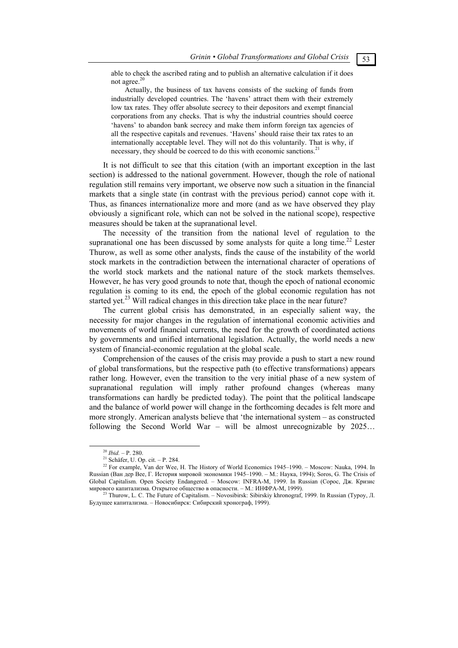able to check the ascribed rating and to publish an alternative calculation if it does not agree.<sup>20</sup>

Actually, the business of tax havens consists of the sucking of funds from industrially developed countries. The 'havens' attract them with their extremely low tax rates. They offer absolute secrecy to their depositors and exempt financial corporations from any checks. That is why the industrial countries should coerce 'havens' to abandon bank secrecy and make them inform foreign tax agencies of all the respective capitals and revenues. 'Havens' should raise their tax rates to an internationally acceptable level. They will not do this voluntarily. That is why, if necessary, they should be coerced to do this with economic sanctions.<sup>21</sup>

It is not difficult to see that this citation (with an important exception in the last section) is addressed to the national government. However, though the role of national regulation still remains very important, we observe now such a situation in the financial markets that a single state (in contrast with the previous period) cannot cope with it. Thus, as finances internationalize more and more (and as we have observed they play obviously a significant role, which can not be solved in the national scope), respective measures should be taken at the supranational level.

The necessity of the transition from the national level of regulation to the supranational one has been discussed by some analysts for quite a long time.<sup>22</sup> Lester Thurow, as well as some other analysts, finds the cause of the instability of the world stock markets in the contradiction between the international character of operations of the world stock markets and the national nature of the stock markets themselves. However, he has very good grounds to note that, though the epoch of national economic regulation is coming to its end, the epoch of the global economic regulation has not started yet.<sup>23</sup> Will radical changes in this direction take place in the near future?

The current global crisis has demonstrated, in an especially salient way, the necessity for major changes in the regulation of international economic activities and movements of world financial currents, the need for the growth of coordinated actions by governments and unified international legislation. Actually, the world needs a new system of financial-economic regulation at the global scale.

Comprehension of the causes of the crisis may provide a push to start a new round of global transformations, but the respective path (to effective transformations) appears rather long. However, even the transition to the very initial phase of a new system of supranational regulation will imply rather profound changes (whereas many transformations can hardly be predicted today). The point that the political landscape and the balance of world power will change in the forthcoming decades is felt more and more strongly. American analysts believe that 'the international system – as constructed following the Second World War – will be almost unrecognizable by 2025…

<sup>20</sup> *Ibid.* – P. 280. 21 Schäfer, U. Op. cit. – P. 284.

<sup>&</sup>lt;sup>22</sup> For example, Van der Wee, H. The History of World Economics 1945–1990. – Moscow: Nauka, 1994. In Russian (Ван дер Вее, Г. История мировой экономики 1945–1990. – М.: Наука, 1994); Soros, G. The Crisis of Global Capitalism. Open Society Endangered. – Moscow: INFRA-M, 1999. In Russian (Сорос, Дж. Кризис мирового капитализма. Открытое общество в опасности. – М.: ИНФРА-М, 1999).<br><sup>23</sup> Thurow, L. C. The Future of Capitalism. – Novosibirsk: Sibirskiy khronograf, 1999. In Russian (Туроу, Л.

Будущее капитализма. – Новосибирск: Сибирский хронограф, 1999).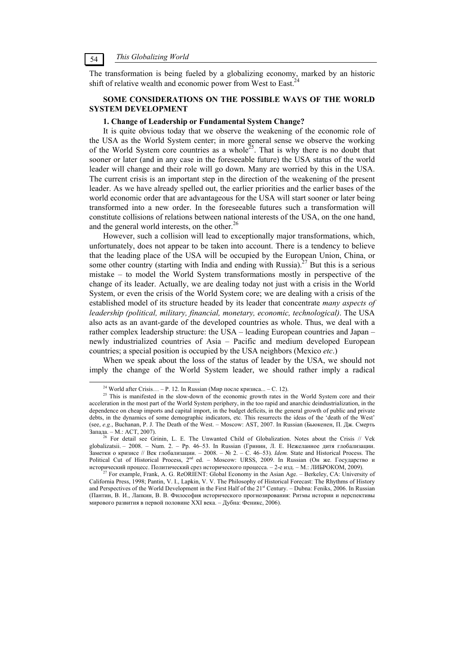The transformation is being fueled by a globalizing economy, marked by an historic shift of relative wealth and economic power from West to East.<sup>24</sup>

## **SOME CONSIDERATIONS ON THE POSSIBLE WAYS OF THE WORLD SYSTEM DEVELOPMENT**

### **1. Change of Leadership or Fundamental System Change?**

It is quite obvious today that we observe the weakening of the economic role of the USA as the World System center; in more general sense we observe the working of the World System core countries as a whole<sup>25</sup>. That is why there is no doubt that sooner or later (and in any case in the foreseeable future) the USA status of the world leader will change and their role will go down. Many are worried by this in the USA. The current crisis is an important step in the direction of the weakening of the present leader. As we have already spelled out, the earlier priorities and the earlier bases of the world economic order that are advantageous for the USA will start sooner or later being transformed into a new order. In the foreseeable futures such a transformation will constitute collisions of relations between national interests of the USA, on the one hand, and the general world interests, on the other. $^{26}$ 

However, such a collision will lead to exceptionally major transformations, which, unfortunately, does not appear to be taken into account. There is a tendency to believe that the leading place of the USA will be occupied by the European Union, China, or some other country (starting with India and ending with Russia).<sup>27</sup> But this is a serious mistake – to model the World System transformations mostly in perspective of the change of its leader. Actually, we are dealing today not just with a crisis in the World System, or even the crisis of the World System core; we are dealing with a crisis of the established model of its structure headed by its leader that concentrate *many aspects of leadership (political, military, financial, monetary, economic, technological)*. The USA also acts as an avant-garde of the developed countries as whole. Thus, we deal with a rather complex leadership structure: the USA – leading European countries and Japan – newly industrialized countries of Asia – Pacific and medium developed European countries; a special position is occupied by the USA neighbors (Mexico *etc*.)

When we speak about the loss of the status of leader by the USA, we should not imply the change of the World System leader, we should rather imply a radical

<sup>&</sup>lt;sup>24</sup> World after Crisis... – P. 12. In Russian (Мир после кризиса... – C. 12).<br><sup>25</sup> This is manifested in the slow-down of the economic growth rates in the World System core and their acceleration in the most part of the World System periphery, in the too rapid and anarchic deindustrialization, in the dependence on cheap imports and capital import, in the budget deficits, in the general growth of public and private debts, in the dynamics of some demographic indicators, etc*.* This resurrects the ideas of the 'death of the West' (see, *e.g.*, Buchanan, P. J. The Death of the West. – Moscow: AST, 2007. In Russian (Бьюкенен, П. Дж. Смерть Запада. – М.: АСТ, 2007). 26 For detail see Grinin, L. E. The Unwanted Child of Globalization. Notes about the Crisis // Vek

globalizatsii. – 2008. – Num. 2. – Pp. 46–53. In Russian (Гринин, Л. Е. Нежеланное дитя глобализации. Заметки о кризисе // Век глобализации. – 2008. – № 2. – C. 46–53). *Idem.* State and Historical Process. The Political Cut of Historical Process,  $2^{nd}$  ed. – Moscow: URSS, 2009. In Russian (Он же. Государство и исторический процесс. Политический срез исторического процесса. – 2-е изд. – М.: ЛИБРОКОМ, 2009).

<sup>&</sup>lt;sup>27</sup> For example, Frank, A. G. ReORIENT: Global Economy in the Asian Age. – Berkeley, CA: University of California Press, 1998; Pantin, V. I., Lapkin, V. V. The Philosophy of Historical Forecast: The Rhythms of History and Perspectives of the World Development in the First Half of the 21<sup>st</sup> Century. – Dubna: Feniks, 2006. In Russian (Пантин, В. И., Лапкин, В. В. Философия исторического прогнозирования: Ритмы истории и перспективы мирового развития в первой половине XXI века. – Дубна: Феникс, 2006).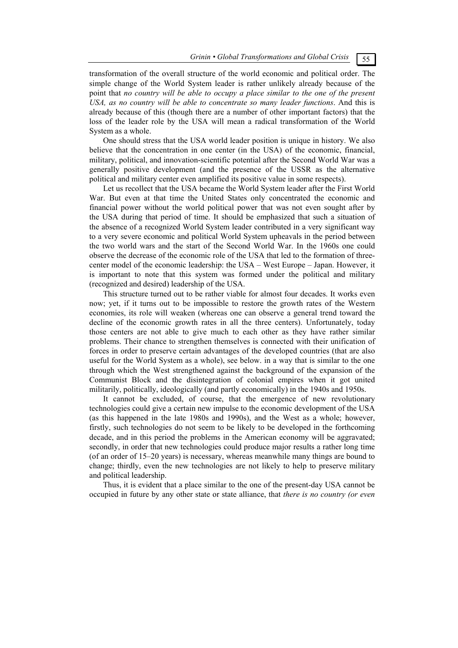transformation of the overall structure of the world economic and political order. The simple change of the World System leader is rather unlikely already because of the point that *no country will be able to occupy a place similar to the one of the present USA, as no country will be able to concentrate so many leader functions*. And this is already because of this (though there are a number of other important factors) that the loss of the leader role by the USA will mean a radical transformation of the World System as a whole.

One should stress that the USA world leader position is unique in history. We also believe that the concentration in one center (in the USA) of the economic, financial, military, political, and innovation-scientific potential after the Second World War was a generally positive development (and the presence of the USSR as the alternative political and military center even amplified its positive value in some respects).

Let us recollect that the USA became the World System leader after the First World War. But even at that time the United States only concentrated the economic and financial power without the world political power that was not even sought after by the USA during that period of time. It should be emphasized that such a situation of the absence of a recognized World System leader contributed in a very significant way to a very severe economic and political World System upheavals in the period between the two world wars and the start of the Second World War. In the 1960s one could observe the decrease of the economic role of the USA that led to the formation of threecenter model of the economic leadership: the USA – West Europe – Japan. However, it is important to note that this system was formed under the political and military (recognized and desired) leadership of the USA.

This structure turned out to be rather viable for almost four decades. It works even now; yet, if it turns out to be impossible to restore the growth rates of the Western economies, its role will weaken (whereas one can observe a general trend toward the decline of the economic growth rates in all the three centers). Unfortunately, today those centers are not able to give much to each other as they have rather similar problems. Their chance to strengthen themselves is connected with their unification of forces in order to preserve certain advantages of the developed countries (that are also useful for the World System as a whole), see below. in a way that is similar to the one through which the West strengthened against the background of the expansion of the Communist Block and the disintegration of colonial empires when it got united militarily, politically, ideologically (and partly economically) in the 1940s and 1950s.

It cannot be excluded, of course, that the emergence of new revolutionary technologies could give a certain new impulse to the economic development of the USA (as this happened in the late 1980s and 1990s), and the West as a whole; however, firstly, such technologies do not seem to be likely to be developed in the forthcoming decade, and in this period the problems in the American economy will be aggravated; secondly, in order that new technologies could produce major results a rather long time (of an order of 15–20 years) is necessary, whereas meanwhile many things are bound to change; thirdly, even the new technologies are not likely to help to preserve military and political leadership.

Thus, it is evident that a place similar to the one of the present-day USA cannot be occupied in future by any other state or state alliance, that *there is no country (or even*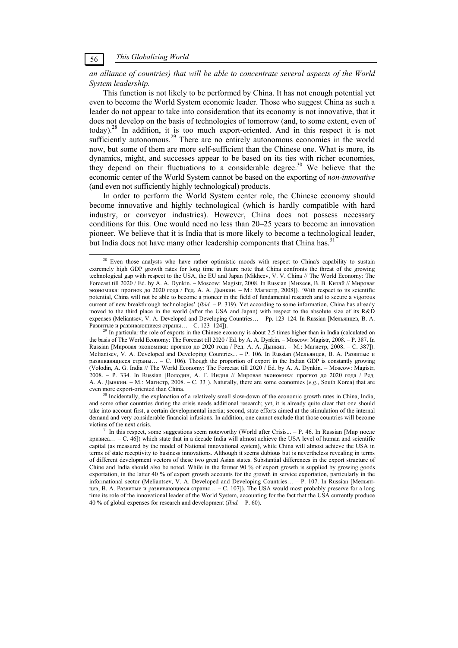*an alliance of countries) that will be able to concentrate several aspects of the World System leadership.*

This function is not likely to be performed by China. It has not enough potential yet even to become the World System economic leader. Those who suggest China as such a leader do not appear to take into consideration that its economy is not innovative, that it does not develop on the basis of technologies of tomorrow (and, to some extent, even of today).28 In addition, it is too much export-oriented. And in this respect it is not sufficiently autonomous.<sup>29</sup> There are no entirely autonomous economies in the world now, but some of them are more self-sufficient than the Chinese one. What is more, its dynamics, might, and successes appear to be based on its ties with richer economies, they depend on their fluctuations to a considerable degree.<sup>30</sup> We believe that the economic center of the World System cannot be based on the exporting of *non-innovative* (and even not sufficiently highly technological) products.

In order to perform the World System center role, the Chinese economy should become innovative and highly technological (which is hardly compatible with hard industry, or conveyor industries). However, China does not possess necessary conditions for this. One would need no less than 20–25 years to become an innovation pioneer. We believe that it is India that is more likely to become a technological leader, but India does not have many other leadership components that China has.<sup>3</sup>

<sup>&</sup>lt;sup>28</sup> Even those analysts who have rather optimistic moods with respect to China's capability to sustain extremely high GDP growth rates for long time in future note that China confronts the threat of the growing technological gap with respect to the USA, the EU and Japan (Mikheev, V. V. China // The World Economy: The Forecast till 2020 / Ed. by A. A. Dynkin. – Moscow: Magistr, 2008. In Russian [Михеев, В. В. Китай // Мировая экономика: прогноз до 2020 года / Ред. А. А. Дынкин. – М.: Магистр, 2008]). 'With respect to its scientific potential, China will not be able to become a pioneer in the field of fundamental research and to secure a vigorous current of new breakthrough technologies' (*Ibid.* – P. 319). Yet according to some information, China has already moved to the third place in the world (after the USA and Japan) with respect to the absolute size of its R&D expenses (Meliantsev, V. A. Developed and Developing Countries… – Pp. 123–124*.* In Russian [Мельянцев, В. А.

Развитые <sup>и</sup> развивающиеся страны… – C. 123–124]). 29 In particular the role of exports in the Chinese economy is about 2.5 times higher than in India (calculated on the basis of The World Economy: The Forecast till 2020 / Ed. by A. A. Dynkin. – Moscow: Magistr, 2008. – P. 387. In Russian [Мировая экономика: прогноз до 2020 года / Ред. А. А. Дынкин. – М.: Магистр, 2008. – С. 387]). Meliantsev, V. A. Developed and Developing Countries... – P. 106*.* In Russian (Мельянцев, В. А. Развитые и развивающиеся страны… – С. 106). Though the proportion of export in the Indian GDP is constantly growing (Volodin, A. G. India // The World Economy: The Forecast till 2020 / Ed. by A. A. Dynkin. – Moscow: Magistr, 2008. – P. 334. In Russian [Володин, А. Г. Индия // Мировая экономика: прогноз до 2020 года / Ред. А. А. Дынкин. – М.: Магистр, 2008. – С. 33]). Naturally, there are some economies (*e.g.*, South Korea) that are

even more export-oriented than China.<br><sup>30</sup> Incidentally, the explanation of a relatively small slow-down of the economic growth rates in China, India, and some other countries during the crisis needs additional research; yet, it is already quite clear that one should take into account first, a certain developmental inertia; second, state efforts aimed at the stimulation of the internal demand and very considerable financial infusions. In addition, one cannot exclude that those countries will become victims of the next crisis.<br><sup>31</sup> In this respect, some suggestions seem noteworthy (World after Crisis... – P. 46. In Russian [Мир после

кризиса… – С. 46]) which state that in a decade India will almost achieve the USA level of human and scientific capital (as measured by the model of National innovational system), while China will almost achieve the USA in terms of state receptivity to business innovations. Although it seems dubious but is nevertheless revealing in terms of different development vectors of these two great Asian states. Substantial differences in the export structure of Chine and India should also be noted. While in the former 90 % of export growth is supplied by growing goods exportation, in the latter 40 % of export growth accounts for the growth in service exportation, particularly in the informational sector (Meliantsev, V. A. Developed and Developing Countries… – P. 107. In Russian [Мельянцев, В. А. Развитые и развивающиеся страны… – С. 107]). The USA would most probably preserve for a long time its role of the innovational leader of the World System, accounting for the fact that the USA currently produce 40 % of global expenses for research and development (*Ibid. –* P. 60).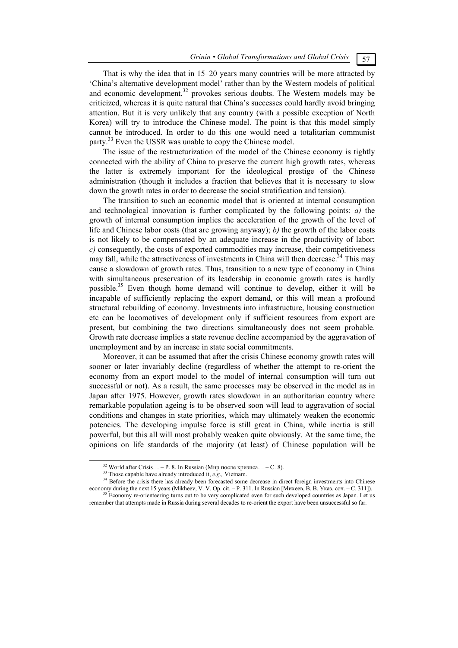# That is why the idea that in 15–20 years many countries will be more attracted by 'China's alternative development model' rather than by the Western models of political and economic development,<sup>32</sup> provokes serious doubts. The Western models may be criticized, whereas it is quite natural that China's successes could hardly avoid bringing attention. But it is very unlikely that any country (with a possible exception of North Korea) will try to introduce the Chinese model. The point is that this model simply cannot be introduced. In order to do this one would need a totalitarian communist party.<sup>33</sup> Even the USSR was unable to copy the Chinese model.

The issue of the restructurization of the model of the Chinese economy is tightly connected with the ability of China to preserve the current high growth rates, whereas the latter is extremely important for the ideological prestige of the Chinese administration (though it includes a fraction that believes that it is necessary to slow down the growth rates in order to decrease the social stratification and tension).

The transition to such an economic model that is oriented at internal consumption and technological innovation is further complicated by the following points: *а)* the growth of internal consumption implies the acceleration of the growth of the level of life and Chinese labor costs (that are growing anyway); *b)* the growth of the labor costs is not likely to be compensated by an adequate increase in the productivity of labor; *c)* consequently, the costs of exported commodities may increase, their competitiveness may fall, while the attractiveness of investments in China will then decrease.<sup>34</sup> This may cause a slowdown of growth rates. Thus, transition to a new type of economy in China with simultaneous preservation of its leadership in economic growth rates is hardly possible.35 Even though home demand will continue to develop, either it will be incapable of sufficiently replacing the export demand, or this will mean a profound structural rebuilding of economy. Investments into infrastructure, housing construction etc can be locomotives of development only if sufficient resources from export are present, but combining the two directions simultaneously does not seem probable. Growth rate decrease implies a state revenue decline accompanied by the aggravation of unemployment and by an increase in state social commitments.

Moreover, it can be assumed that after the crisis Chinese economy growth rates will sooner or later invariably decline (regardless of whether the attempt to re-orient the economy from an export model to the model of internal consumption will turn out successful or not). As a result, the same processes may be observed in the model as in Japan after 1975. However, growth rates slowdown in an authoritarian country where remarkable population ageing is to be observed soon will lead to aggravation of social conditions and changes in state priorities, which may ultimately weaken the economic potencies. The developing impulse force is still great in China, while inertia is still powerful, but this all will most probably weaken quite obviously. At the same time, the opinions on life standards of the majority (at least) of Chinese population will be

<sup>&</sup>lt;sup>32</sup> World after Crisis... – P. 8. In Russian (Mup nocne кризиса... – C. 8).<br><sup>33</sup> Those capable have already introduced it, *e.g.*, Vietnam.<br><sup>34</sup> Before the crisis there has already been forecasted some decrease in direct economy during the next 15 years (Mikheev, V. V. Op. cit. – P. 311. In Russian [Muxees, B. B. Yka3. cou. – C. 311]).<br><sup>35</sup> Economy re-orienteering turns out to be very complicated even for such developed countries as Japan

remember that attempts made in Russia during several decades to re-orient the export have been unsuccessful so far.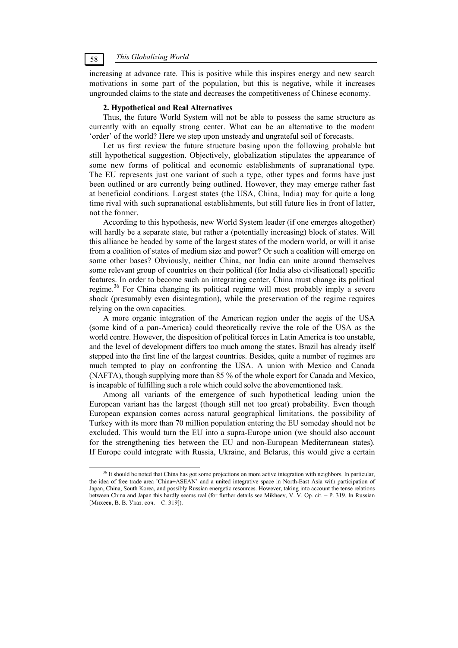increasing at advance rate. This is positive while this inspires energy and new search motivations in some part of the population, but this is negative, while it increases ungrounded claims to the state and decreases the competitiveness of Chinese economy.

#### **2. Hypothetical and Real Alternatives**

Thus, the future World System will not be able to possess the same structure as currently with an equally strong center. What can be an alternative to the modern 'order' of the world? Here we step upon unsteady and ungrateful soil of forecasts.

Let us first review the future structure basing upon the following probable but still hypothetical suggestion. Objectively, globalization stipulates the appearance of some new forms of political and economic establishments of supranational type. The EU represents just one variant of such a type, other types and forms have just been outlined or are currently being outlined. However, they may emerge rather fast at beneficial conditions. Largest states (the USA, China, India) may for quite a long time rival with such supranational establishments, but still future lies in front of latter, not the former.

According to this hypothesis, new World System leader (if one emerges altogether) will hardly be a separate state, but rather a (potentially increasing) block of states. Will this alliance be headed by some of the largest states of the modern world, or will it arise from a coalition of states of medium size and power? Or such a coalition will emerge on some other bases? Obviously, neither China, nor India can unite around themselves some relevant group of countries on their political (for India also civilisational) specific features. In order to become such an integrating center, China must change its political regime.36 For China changing its political regime will most probably imply a severe shock (presumably even disintegration), while the preservation of the regime requires relying on the own capacities.

A more organic integration of the American region under the aegis of the USA (some kind of a pan-America) could theoretically revive the role of the USA as the world centre. However, the disposition of political forces in Latin America is too unstable, and the level of development differs too much among the states. Brazil has already itself stepped into the first line of the largest countries. Besides, quite a number of regimes are much tempted to play on confronting the USA. A union with Mexico and Canada (NAFTA), though supplying more than 85 % of the whole export for Canada and Mexico, is incapable of fulfilling such a role which could solve the abovementioned task.

Among all variants of the emergence of such hypothetical leading union the European variant has the largest (though still not too great) probability. Even though European expansion comes across natural geographical limitations, the possibility of Turkey with its more than 70 million population entering the EU someday should not be excluded. This would turn the EU into a supra-Europe union (we should also account for the strengthening ties between the EU and non-European Mediterranean states). If Europe could integrate with Russia, Ukraine, and Belarus, this would give a certain

<sup>&</sup>lt;sup>36</sup> It should be noted that China has got some projections on more active integration with neighbors. In particular, the idea of free trade area 'China+ASEAN' and a united integrative space in North-East Asia with participation of Japan, China, South Korea, and possibly Russian energetic resources. However, taking into account the tense relations between China and Japan this hardly seems real (for further details see Mikheev, V. V. Op. cit. – P. 319. In Russian [Михеев, В. В. Указ. соч. – С. 319]).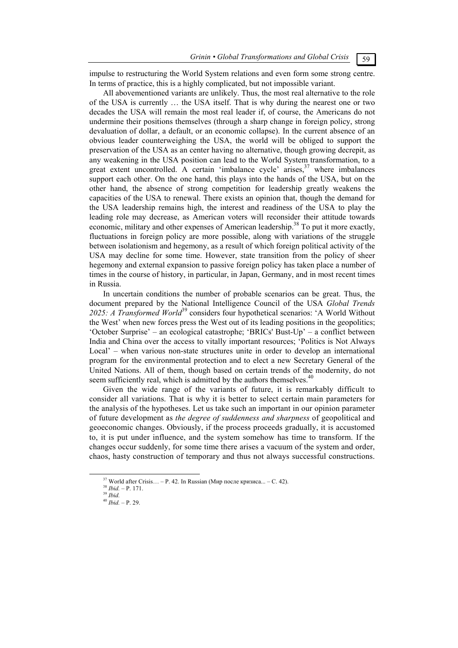impulse to restructuring the World System relations and even form some strong centre. In terms of practice, this is a highly complicated, but not impossible variant.

All abovementioned variants are unlikely. Thus, the most real alternative to the role of the USA is currently … the USA itself. That is why during the nearest one or two decades the USA will remain the most real leader if, of course, the Americans do not undermine their positions themselves (through a sharp change in foreign policy, strong devaluation of dollar, a default, or an economic collapse). In the current absence of an obvious leader counterweighing the USA, the world will be obliged to support the preservation of the USA as an center having no alternative, though growing decrepit, as any weakening in the USA position can lead to the World System transformation, to a great extent uncontrolled. A certain 'imbalance cycle' arises,  $37$  where imbalances support each other. On the one hand, this plays into the hands of the USA, but on the other hand, the absence of strong competition for leadership greatly weakens the capacities of the USA to renewal. There exists an opinion that, though the demand for the USA leadership remains high, the interest and readiness of the USA to play the leading role may decrease, as American voters will reconsider their attitude towards economic, military and other expenses of American leadership.<sup>38</sup> To put it more exactly, fluctuations in foreign policy are more possible, along with variations of the struggle between isolationism and hegemony, as a result of which foreign political activity of the USA may decline for some time. However, state transition from the policy of sheer hegemony and external expansion to passive foreign policy has taken place a number of times in the course of history, in particular, in Japan, Germany, and in most recent times in Russia.

In uncertain conditions the number of probable scenarios can be great. Thus, the document prepared by the National Intelligence Council of the USA *Global Trends*  2025: A Transformed World<sup>39</sup> considers four hypothetical scenarios: 'A World Without the West' when new forces press the West out of its leading positions in the geopolitics; 'October Surprise' – an ecological catastrophe; 'BRICs' Bust-Up' – a conflict between India and China over the access to vitally important resources; 'Politics is Not Always Local' – when various non-state structures unite in order to develop an international program for the environmental protection and to elect a new Secretary General of the United Nations. All of them, though based on certain trends of the modernity, do not seem sufficiently real, which is admitted by the authors themselves.<sup>40</sup>

Given the wide range of the variants of future, it is remarkably difficult to consider all variations. That is why it is better to select certain main parameters for the analysis of the hypotheses. Let us take such an important in our opinion parameter of future development as *the degree of suddenness and sharpness* of geopolitical and geoeconomic changes. Obviously, if the process proceeds gradually, it is accustomed to, it is put under influence, and the system somehow has time to transform. If the changes occur suddenly, for some time there arises a vacuum of the system and order, chaos, hasty construction of temporary and thus not always successful constructions.

<sup>&</sup>lt;sup>37</sup> World after Crisis... – P. 42. In Russian (Мир после кризиса... – C. 42).<br><sup>38</sup> *Ibid.* – P. 171.<br><sup>39</sup> *Ibid* 

<sup>40</sup> *Ibid.* – P. 29.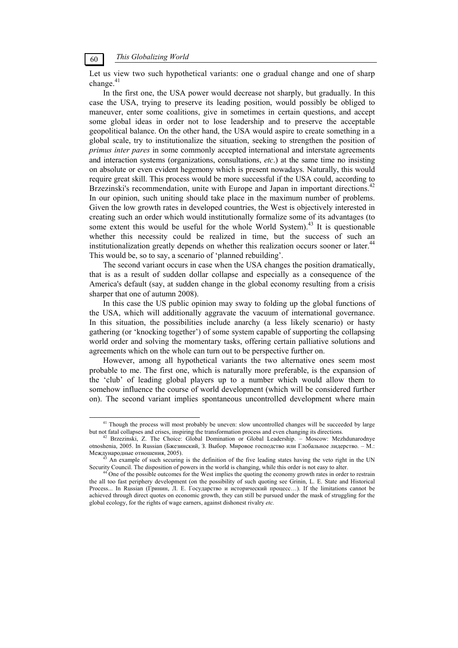Let us view two such hypothetical variants: one o gradual change and one of sharp change.<sup>41</sup>

In the first one, the USA power would decrease not sharply, but gradually. In this case the USA, trying to preserve its leading position, would possibly be obliged to maneuver, enter some coalitions, give in sometimes in certain questions, and accept some global ideas in order not to lose leadership and to preserve the acceptable geopolitical balance. On the other hand, the USA would aspire to create something in a global scale, try to institutionalize the situation, seeking to strengthen the position of *primus inter pares* in some commonly accepted international and interstate agreements and interaction systems (organizations, consultations, *etc*.) at the same time no insisting on absolute or even evident hegemony which is present nowadays. Naturally, this would require great skill. This process would be more successful if the USA could, according to Brzezinski's recommendation, unite with Europe and Japan in important directions.<sup>42</sup> In our opinion, such uniting should take place in the maximum number of problems. Given the low growth rates in developed countries, the West is objectively interested in creating such an order which would institutionally formalize some of its advantages (to some extent this would be useful for the whole World System).<sup>43</sup> It is questionable whether this necessity could be realized in time, but the success of such an institutionalization greatly depends on whether this realization occurs sooner or later.<sup>44</sup> This would be, so to say, a scenario of 'planned rebuilding'.

The second variant occurs in case when the USA changes the position dramatically, that is as a result of sudden dollar collapse and especially as a consequence of the America's default (say, at sudden change in the global economy resulting from a crisis sharper that one of autumn 2008).

In this case the US public opinion may sway to folding up the global functions of the USA, which will additionally aggravate the vacuum of international governance. In this situation, the possibilities include anarchy (a less likely scenario) or hasty gathering (or 'knocking together') of some system capable of supporting the collapsing world order and solving the momentary tasks, offering certain palliative solutions and agreements which on the whole can turn out to be perspective further on.

However, among all hypothetical variants the two alternative ones seem most probable to me. The first one, which is naturally more preferable, is the expansion of the 'club' of leading global players up to a number which would allow them to somehow influence the course of world development (which will be considered further on). The second variant implies spontaneous uncontrolled development where main

<sup>&</sup>lt;sup>41</sup> Though the process will most probably be uneven: slow uncontrolled changes will be succeeded by large but not fatal collapses and crises, inspiring the transformation process and even changing its directions.<br><sup>42</sup> Brzezinski, Z. The Choice: Global Domination or Global Leadership. – Moscow: Mezhdunarodnye

otnoshenia, 2005. In Russian (Бжезинский, З. Выбор. Мировое господство или Глобальное лидерство. – М.:

 $\frac{43}{12}$  An example of such securing is the definition of the five leading states having the veto right in the UN Security Council. The disposition of powers in the world is changing, while this order is not easy to al

One of the possible outcomes for the West implies the quoting the economy growth rates in order to restrain the all too fast periphery development (on the possibility of such quoting see Grinin, L. E. State and Historical Process... In Russian (Гринин, Л. Е. Государство и исторический процесс…). If the limitations cannot be achieved through direct quotes on economic growth, they can still be pursued under the mask of struggling for the global ecology, for the rights of wage earners, against dishonest rivalry *etc.*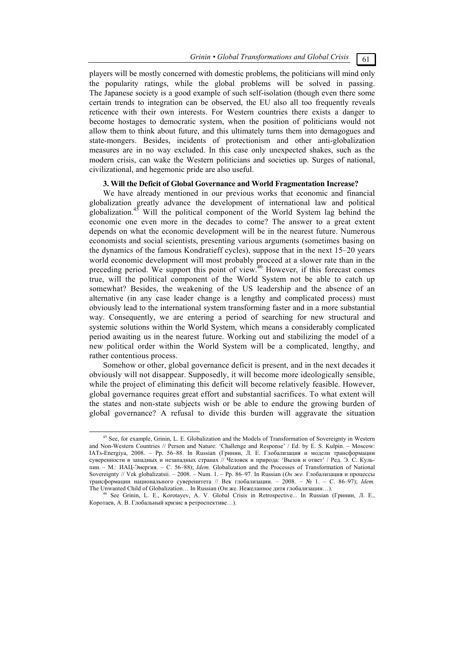players will be mostly concerned with domestic problems, the politicians will mind only the popularity ratings, while the global problems will be solved in passing. The Japanese society is a good example of such self-isolation (though even there some certain trends to integration can be observed, the EU also all too frequently reveals reticence with their own interests. For Western countries there exists a danger to become hostages to democratic system, when the position of politicians would not allow them to think about future, and this ultimately turns them into demagogues and state-mongers. Besides, incidents of protectionism and other anti-globalization measures are in no way excluded. In this case only unexpected shakes, such as the modern crisis, can wake the Western politicians and societies up. Surges of national, civilizational, and hegemonic pride are also useful.

## **3. Will the Deficit of Global Governance and World Fragmentation Increase?**

We have already mentioned in our previous works that economic and financial globalization greatly advance the development of international law and political globalization.<sup>45</sup> Will the political component of the World System lag behind the economic one even more in the decades to come? The answer to a great extent depends on what the economic development will be in the nearest future. Numerous economists and social scientists, presenting various arguments (sometimes basing on the dynamics of the famous Kondratieff cycles), suppose that in the next 15–20 years world economic development will most probably proceed at a slower rate than in the preceding period. We support this point of view.<sup>46</sup> However, if this forecast comes true, will the political component of the World System not be able to catch up somewhat? Besides, the weakening of the US leadership and the absence of an alternative (in any case leader change is a lengthy and complicated process) must obviously lead to the international system transforming faster and in a more substantial way. Consequently, we are entering a period of searching for new structural and systemic solutions within the World System, which means a considerably complicated period awaiting us in the nearest future. Working out and stabilizing the model of a new political order within the World System will be a complicated, lengthy, and rather contentious process.

Somehow or other, global governance deficit is present, and in the next decades it obviously will not disappear. Supposedly, it will become more ideologically sensible, while the project of eliminating this deficit will become relatively feasible. However, global governance requires great effort and substantial sacrifices. To what extent will the states and non-state subjects wish or be able to endure the growing burden of global governance? A refusal to divide this burden will aggravate the situation

<sup>&</sup>lt;sup>45</sup> See, for example, Grinin, L. E. Globalization and the Models of Transformation of Sovereignty in Western and Non-Western Countries // Person and Nature: 'Challenge and Response' / Ed. by E. S. Kulpin. – Moscow: IATs-Energiya, 2008. – Pp. 56–88. In Russian (Гринин, Л. Е. Глобализация и модели трансформации суверенности в западных и незападных странах // Человек и природа: 'Вызов и ответ' / Ред. Э. С. Кульпин. *–* М.: ИАЦ-Энергия. – С. 56–88); *Idem.* Globalization and the Processes of Transformation of National Sovereignty // Vek globalizatsii. – 2008. – Num. 1. – Pp. 86–97. In Russian (*Он же.* Глобализация и процессы трансформации национального суверенитета // Век глобализации. – 2008. – № 1. – С. 86–97); *Idem.* The Unwanted Child of Globalization… In Russian (Он же. Нежеланное дитя глобализации…). 46 See Grinin, L. E., Korotayev, A. V. Global Crisis in Retrospective... In Russian (Гринин, Л. Е.,

Коротаев, А. В. Глобальный кризис в ретроспективе…).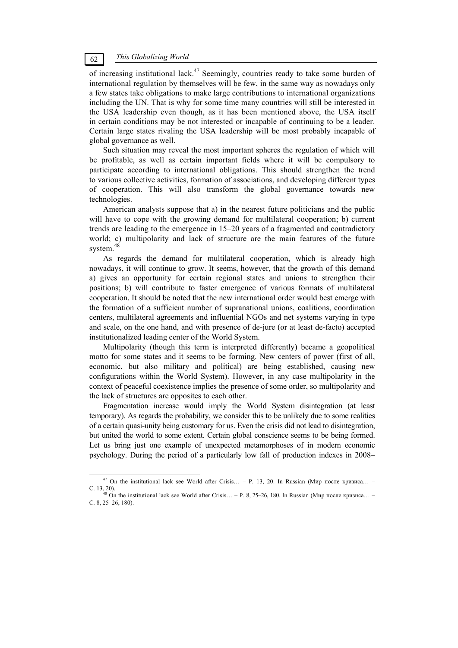of increasing institutional lack.<sup>47</sup> Seemingly, countries ready to take some burden of international regulation by themselves will be few, in the same way as nowadays only a few states take obligations to make large contributions to international organizations including the UN. That is why for some time many countries will still be interested in the USA leadership even though, as it has been mentioned above, the USA itself in certain conditions may be not interested or incapable of continuing to be a leader. Certain large states rivaling the USA leadership will be most probably incapable of global governance as well.

Such situation may reveal the most important spheres the regulation of which will be profitable, as well as certain important fields where it will be compulsory to participate according to international obligations. This should strengthen the trend to various collective activities, formation of associations, and developing different types of cooperation. This will also transform the global governance towards new technologies.

American analysts suppose that а) in the nearest future politicians and the public will have to cope with the growing demand for multilateral cooperation; b) current trends are leading to the emergence in 15–20 years of a fragmented and contradictory world; c) multipolarity and lack of structure are the main features of the future system.<sup>48</sup>

As regards the demand for multilateral cooperation, which is already high nowadays, it will continue to grow. It seems, however, that the growth of this demand а) gives an opportunity for certain regional states and unions to strengthen their positions; b) will contribute to faster emergence of various formats of multilateral cooperation. It should be noted that the new international order would best emerge with the formation of a sufficient number of supranational unions, coalitions, coordination centers, multilateral agreements and influential NGOs and net systems varying in type and scale, on the one hand, and with presence of de-jure (or at least de-facto) accepted institutionalized leading center of the World System.

Multipolarity (though this term is interpreted differently) became a geopolitical motto for some states and it seems to be forming. New centers of power (first of all, economic, but also military and political) are being established, causing new configurations within the World System). However, in any case multipolarity in the context of peaceful coexistence implies the presence of some order, so multipolarity and the lack of structures are opposites to each other.

Fragmentation increase would imply the World System disintegration (at least temporary). As regards the probability, we consider this to be unlikely due to some realities of a certain quasi-unity being customary for us. Even the crisis did not lead to disintegration, but united the world to some extent. Certain global conscience seems to be being formed. Let us bring just one example of unexpected metamorphoses of in modern economic psychology. During the period of a particularly low fall of production indexes in 2008–

<sup>&</sup>lt;sup>47</sup> On the institutional lack see World after Crisis... – P. 13, 20. In Russian (Мир после кризиса... – С. 13, 20).  $^{48}$  On the institutional lack see World after Crisis... – P. 8, 25–26, 180. In Russian (Мир после кризиса... –

С. 8, 25–26, 180).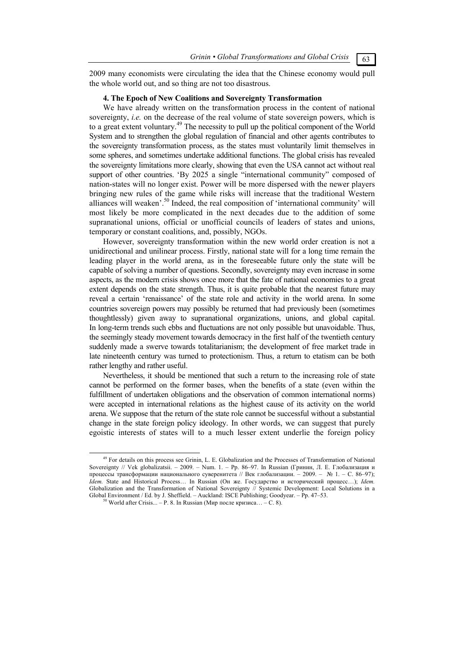2009 many economists were circulating the idea that the Chinese economy would pull the whole world out, and so thing are not too disastrous.

### **4. The Epoch of New Coalitions and Sovereignty Transformation**

We have already written on the transformation process in the content of national sovereignty, *i.e.* on the decrease of the real volume of state sovereign powers, which is to a great extent voluntary.49 The necessity to pull up the political component of the World System and to strengthen the global regulation of financial and other agents contributes to the sovereignty transformation process, as the states must voluntarily limit themselves in some spheres, and sometimes undertake additional functions. The global crisis has revealed the sovereignty limitations more clearly, showing that even the USA cannot act without real support of other countries. 'By 2025 a single "international community" composed of nation-states will no longer exist. Power will be more dispersed with the newer players bringing new rules of the game while risks will increase that the traditional Western alliances will weaken'.<sup>50</sup> Indeed, the real composition of 'international community' will most likely be more complicated in the next decades due to the addition of some supranational unions, official or unofficial councils of leaders of states and unions, temporary or constant coalitions, and, possibly, NGOs.

However, sovereignty transformation within the new world order creation is not a unidirectional and unilinear process. Firstly, national state will for a long time remain the leading player in the world arena, as in the foreseeable future only the state will be capable of solving a number of questions. Secondly, sovereignty may even increase in some aspects, as the modern crisis shows once more that the fate of national economies to a great extent depends on the state strength. Thus, it is quite probable that the nearest future may reveal a certain 'renaissance' of the state role and activity in the world arena. In some countries sovereign powers may possibly be returned that had previously been (sometimes thoughtlessly) given away to supranational organizations, unions, and global capital. In long-term trends such ebbs and fluctuations are not only possible but unavoidable. Thus, the seemingly steady movement towards democracy in the first half of the twentieth century suddenly made a swerve towards totalitarianism; the development of free market trade in late nineteenth century was turned to protectionism. Thus, a return to etatism can be both rather lengthy and rather useful.

Nevertheless, it should be mentioned that such a return to the increasing role of state cannot be performed on the former bases, when the benefits of a state (even within the fulfillment of undertaken obligations and the observation of common international norms) were accepted in international relations as the highest cause of its activity on the world arena. We suppose that the return of the state role cannot be successful without a substantial change in the state foreign policy ideology. In other words, we can suggest that purely egoistic interests of states will to a much lesser extent underlie the foreign policy

<sup>&</sup>lt;sup>49</sup> For details on this process see Grinin, L. E. Globalization and the Processes of Transformation of National Sovereignty // Vek globalizatsii. – 2009. – Num. 1. – Pp. 86–97. In Russian (Гринин, Л. Е. Глобализация и процессы трансформации национального суверенитета // Век глобализации. – 2009. – № 1. – С. 86–97); *Idem.* State and Historical Process… In Russian (Он же. Государство и исторический процесс…); *Idem.* Globalization and the Transformation of National Sovereignty // Systemic Development: Local Solutions in a Global Environment / Ed. by J. Sheffield. – Auckland: ISCE Publishing; Goodyear. – Pp. 47–53. 50 World after Crisis... – P. 8. In Russian (Мир после кризиса… – С. 8).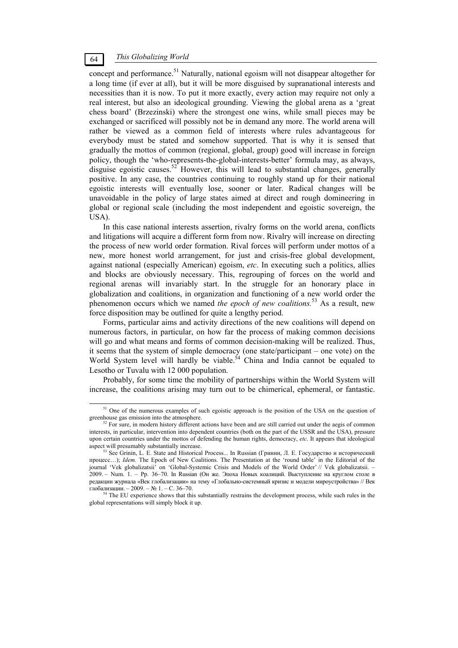concept and performance.<sup>51</sup> Naturally, national egoism will not disappear altogether for a long time (if ever at all), but it will be more disguised by supranational interests and necessities than it is now. To put it more exactly, every action may require not only a real interest, but also an ideological grounding. Viewing the global arena as a 'great chess board' (Brzezinski) where the strongest one wins, while small pieces may be exchanged or sacrificed will possibly not be in demand any more. The world arena will rather be viewed as a common field of interests where rules advantageous for everybody must be stated and somehow supported. That is why it is sensed that gradually the mottos of common (regional, global, group) good will increase in foreign policy, though the 'who-represents-the-global-interests-better' formula may, as always, disguise egoistic causes.<sup>52</sup> However, this will lead to substantial changes, generally positive. In any case, the countries continuing to roughly stand up for their national egoistic interests will eventually lose, sooner or later. Radical changes will be unavoidable in the policy of large states aimed at direct and rough domineering in global or regional scale (including the most independent and egoistic sovereign, the USA).

In this case national interests assertion, rivalry forms on the world arena, conflicts and litigations will acquire a different form from now. Rivalry will increase on directing the process of new world order formation. Rival forces will perform under mottos of a new, more honest world arrangement, for just and crisis-free global development, against national (especially American) egoism, *etc*. In executing such a politics, allies and blocks are obviously necessary. This, regrouping of forces on the world and regional arenas will invariably start. In the struggle for an honorary place in globalization and coalitions, in organization and functioning of a new world order the phenomenon occurs which we named *the epoch of new coalitions.*53 As a result, new force disposition may be outlined for quite a lengthy period.

Forms, particular aims and activity directions of the new coalitions will depend on numerous factors, in particular, on how far the process of making common decisions will go and what means and forms of common decision-making will be realized. Thus, it seems that the system of simple democracy (one state/participant – one vote) on the World System level will hardly be viable.<sup>54</sup> China and India cannot be equaled to Lesotho or Tuvalu with 12 000 population.

Probably, for some time the mobility of partnerships within the World System will increase, the coalitions arising may turn out to be chimerical, ephemeral, or fantastic.

<sup>&</sup>lt;sup>51</sup> One of the numerous examples of such egoistic approach is the position of the USA on the question of greenhouse gas emission into the atmosphere.

greenhouse gas emission into the atmosphere.  $\frac{1}{2}$  For sure, in modern history different actions have been and are still carried out under the aegis of common interests, in particular, intervention into dependent countries (both on the part of the USSR and the USA), pressure upon certain countries under the mottos of defending the human rights, democracy, *etc*. It appears that ideological aspect will presumably substantially increase.

ass See Grinin, L. E. State and Historical Process... In Russian (Гринин, Л. Е. Государство и исторический процесс…); *Idem.* The Epoch of New Coalitions. The Presentation at the 'round table' in the Editorial of the journal 'Vek globalizatsii' on 'Global-Systemic Crisis and Models of the World Order' // Vek globalizatsii. – 2009. – Num. 1. – Pp. 36–70. In Russian (Он же. Эпоха Новых коалиций. Выступление на круглом столе в редакции журнала «Век глобализации» на тему «Глобально-системный кризис и модели мироустройства» // Век глобализации. – 2009. – № 1. – С. 36–70.<br>
<sup>54</sup> The EU experience shows that this substantially restrains the development process, while such rules in the

global representations will simply block it up.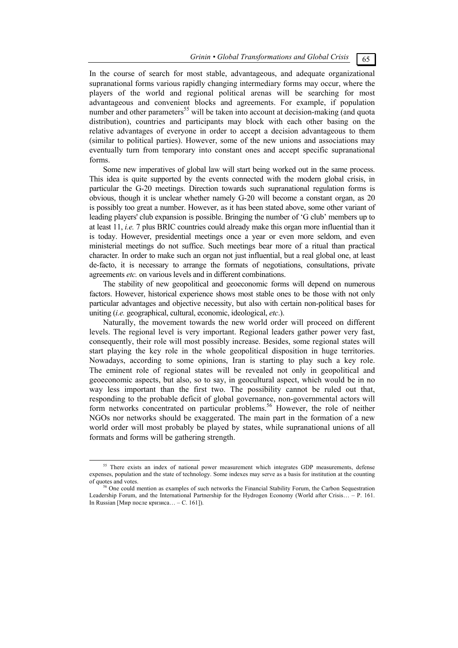*Grinin • Global Transformations and Global Crisis* 65

In the course of search for most stable, advantageous, and adequate organizational supranational forms various rapidly changing intermediary forms may occur, where the players of the world and regional political arenas will be searching for most advantageous and convenient blocks and agreements. For example, if population number and other parameters<sup>55</sup> will be taken into account at decision-making (and quota distribution), countries and participants may block with each other basing on the relative advantages of everyone in order to accept a decision advantageous to them (similar to political parties). However, some of the new unions and associations may eventually turn from temporary into constant ones and accept specific supranational forms.

Some new imperatives of global law will start being worked out in the same process. This idea is quite supported by the events connected with the modern global crisis, in particular the G-20 meetings. Direction towards such supranational regulation forms is obvious, though it is unclear whether namely G-20 will become a constant organ, as 20 is possibly too great a number. However, as it has been stated above, some other variant of leading players' club expansion is possible. Bringing the number of 'G club' members up to at least 11, *i.e.* 7 plus BRIC countries could already make this organ more influential than it is today. However, presidential meetings once a year or even more seldom, and even ministerial meetings do not suffice. Such meetings bear more of a ritual than practical character. In order to make such an organ not just influential, but a real global one, at least de-facto, it is necessary to arrange the formats of negotiations, consultations, private agreements *etc.* on various levels and in different combinations.

The stability of new geopolitical and geoeconomic forms will depend on numerous factors. However, historical experience shows most stable ones to be those with not only particular advantages and objective necessity, but also with certain non-political bases for uniting (*i.e.* geographical, cultural, economic, ideological, *etc*.).

Naturally, the movement towards the new world order will proceed on different levels. The regional level is very important. Regional leaders gather power very fast, consequently, their role will most possibly increase. Besides, some regional states will start playing the key role in the whole geopolitical disposition in huge territories. Nowadays, according to some opinions, Iran is starting to play such a key role. The eminent role of regional states will be revealed not only in geopolitical and geoeconomic aspects, but also, so to say, in geocultural aspect, which would be in no way less important than the first two. The possibility cannot be ruled out that, responding to the probable deficit of global governance, non-governmental actors will form networks concentrated on particular problems.<sup>56</sup> However, the role of neither NGOs nor networks should be exaggerated. The main part in the formation of a new world order will most probably be played by states, while supranational unions of all formats and forms will be gathering strength.

<sup>&</sup>lt;sup>55</sup> There exists an index of national power measurement which integrates GDP measurements, defense expenses, population and the state of technology. Some indexes may serve as a basis for institution at the counting of quotes and votes.<br><sup>56</sup> One could mention as examples of such networks the Financial Stability Forum, the Carbon Sequestration

Leadership Forum, and the International Partnership for the Hydrogen Economy (World after Crisis… – P. 161. In Russian [Мир после кризиса... – С. 161]).